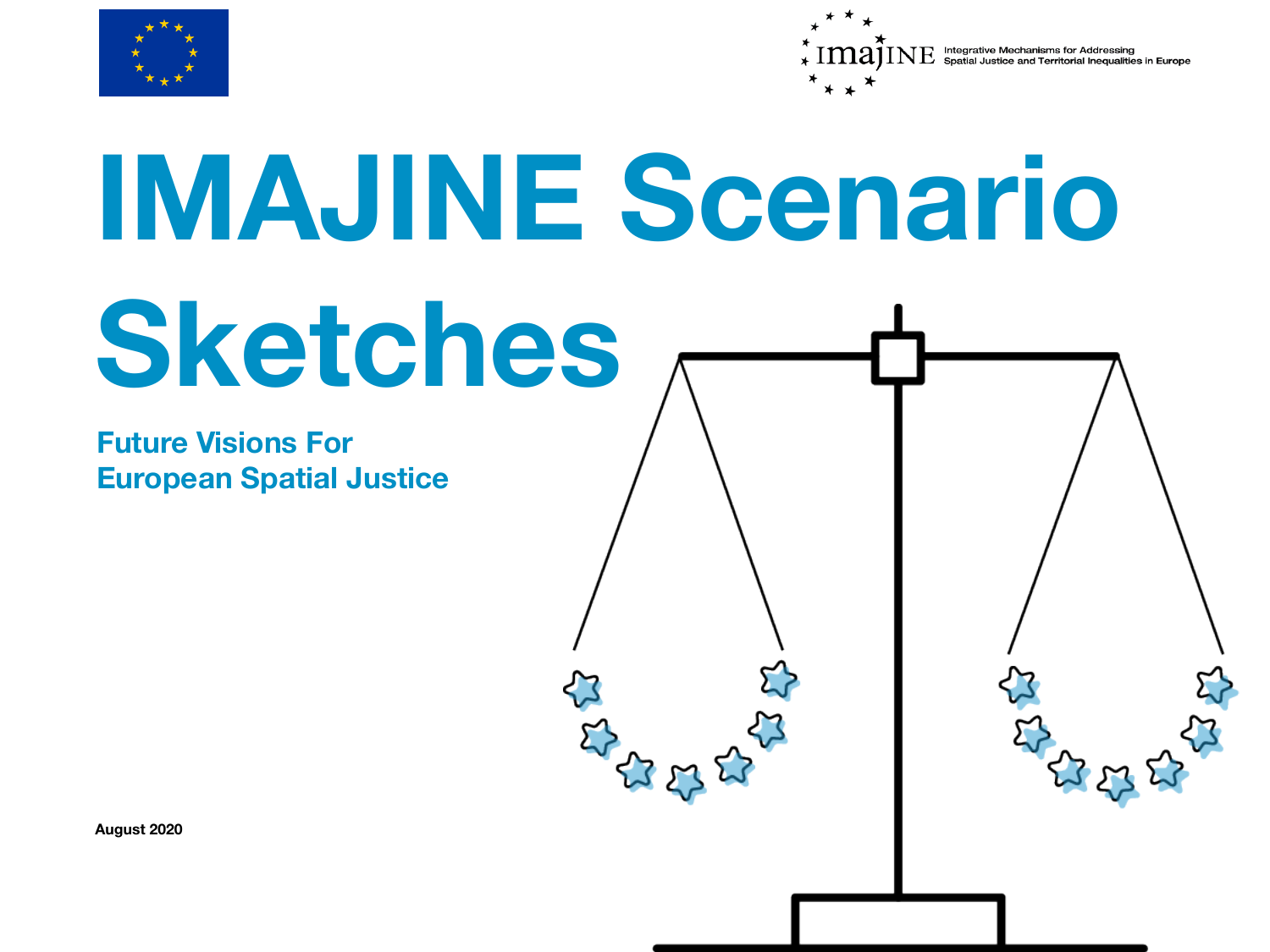



# **IMAJINE Scenario Sketches**

**Future Visions For European Spatial Justice** 

**August 2020**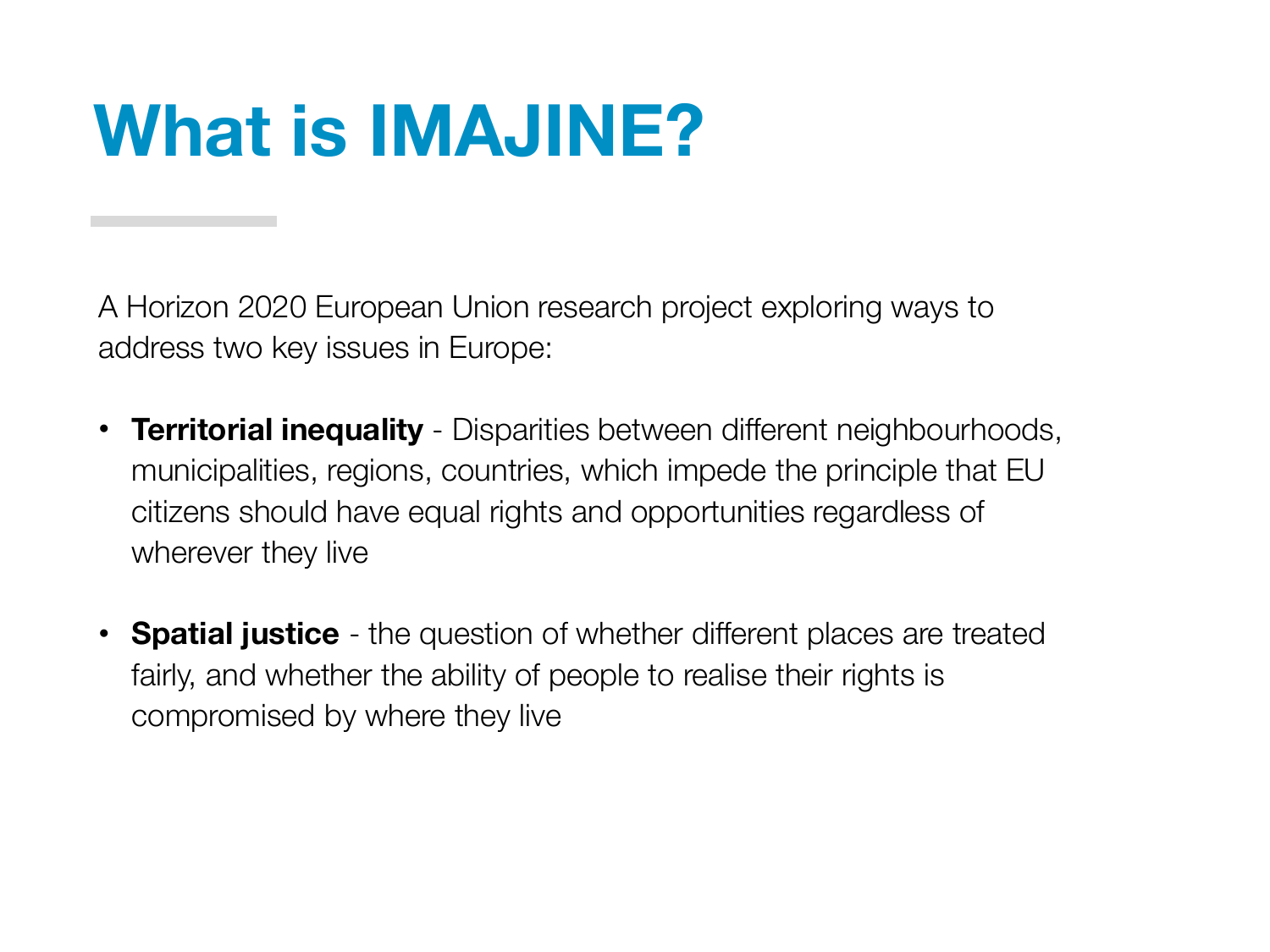#### **What is IMAJINE?**

A Horizon 2020 European Union research project exploring ways to address two key issues in Europe:

- **Territorial inequality**  Disparities between different neighbourhoods, municipalities, regions, countries, which impede the principle that EU citizens should have equal rights and opportunities regardless of wherever they live
- **Spatial justice**  the question of whether different places are treated fairly, and whether the ability of people to realise their rights is compromised by where they live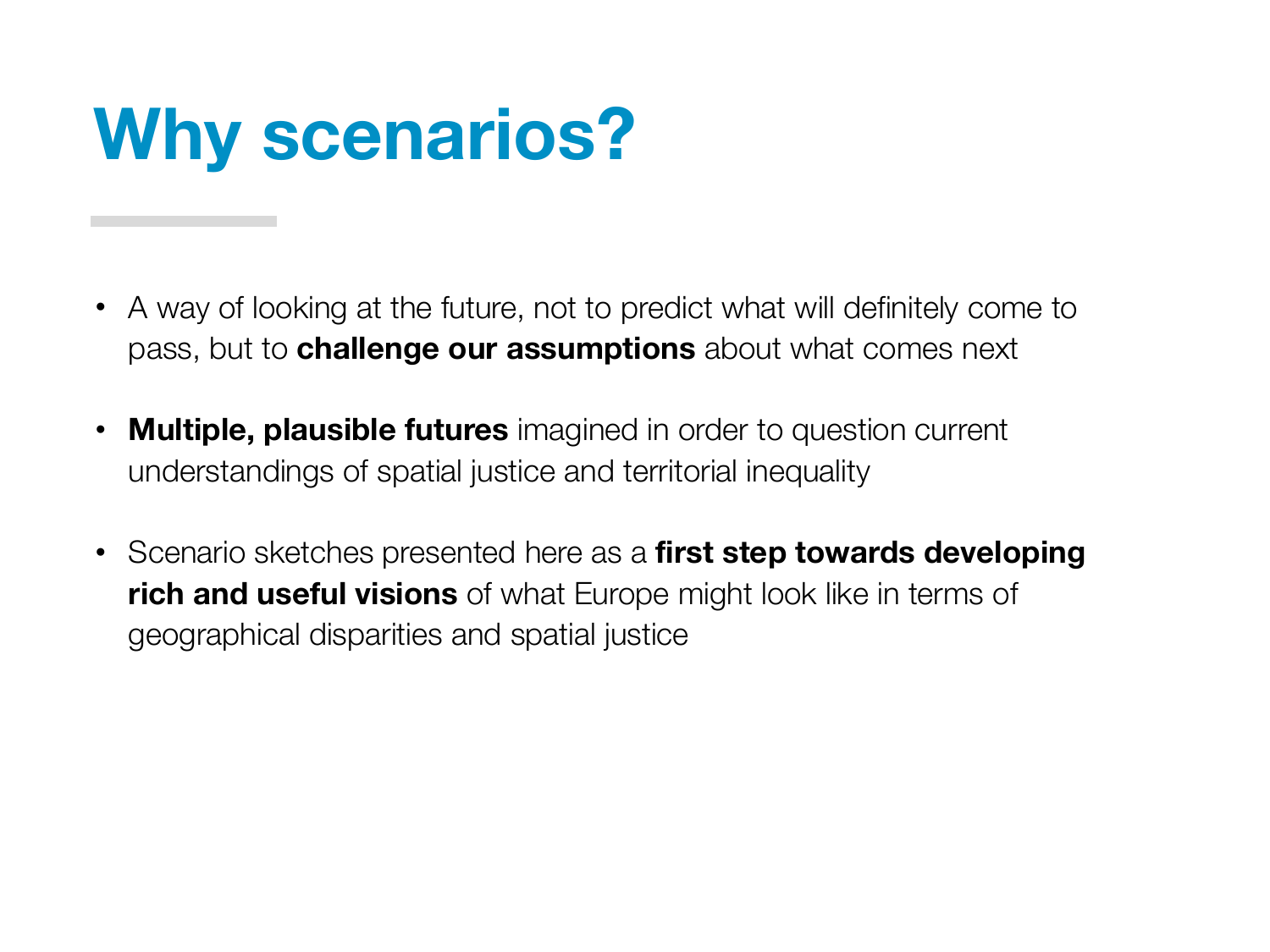#### **Why scenarios?**

- A way of looking at the future, not to predict what will definitely come to pass, but to **challenge our assumptions** about what comes next
- **Multiple, plausible futures** imagined in order to question current understandings of spatial justice and territorial inequality
- Scenario sketches presented here as a **first step towards developing rich and useful visions** of what Europe might look like in terms of geographical disparities and spatial justice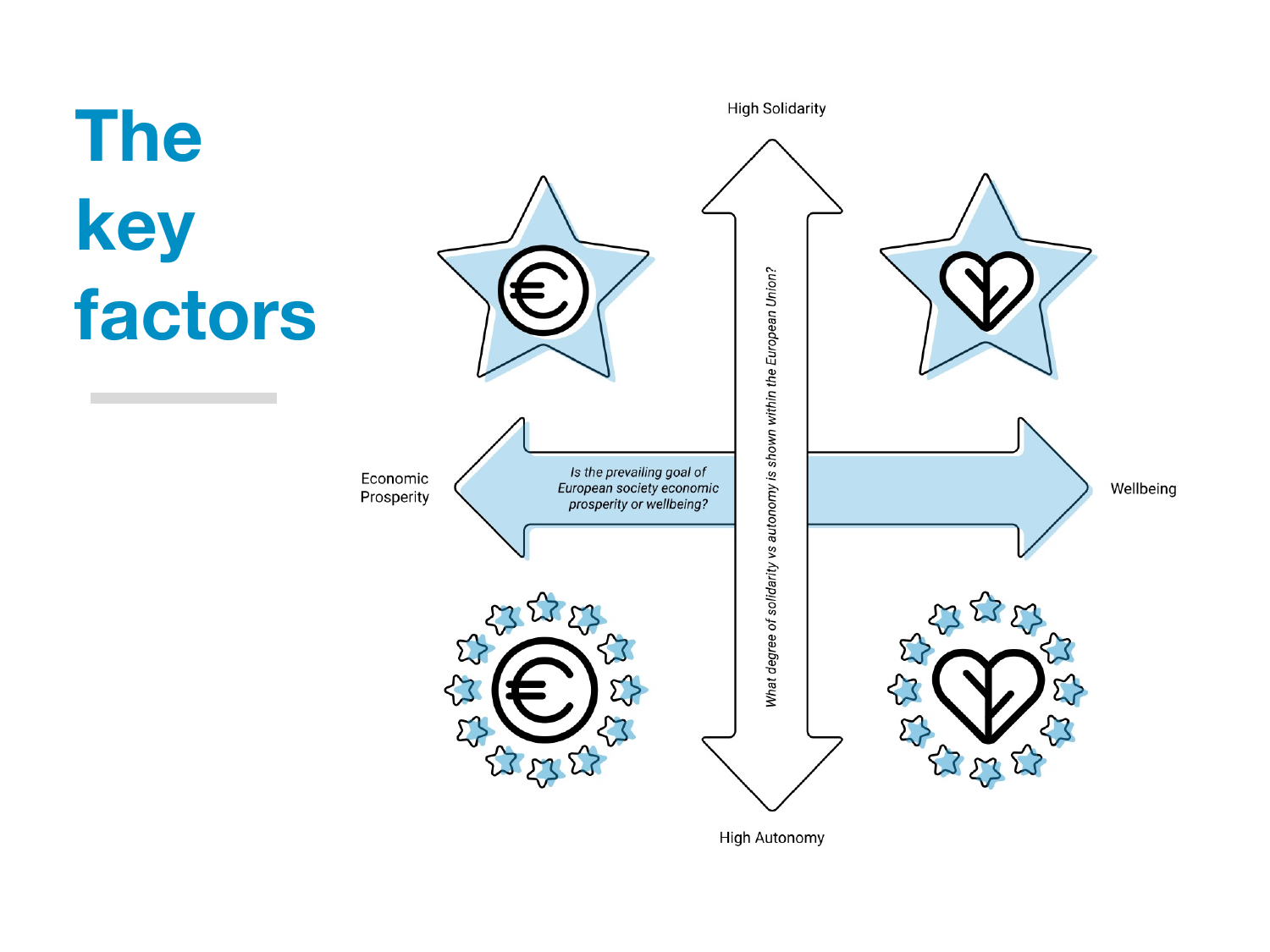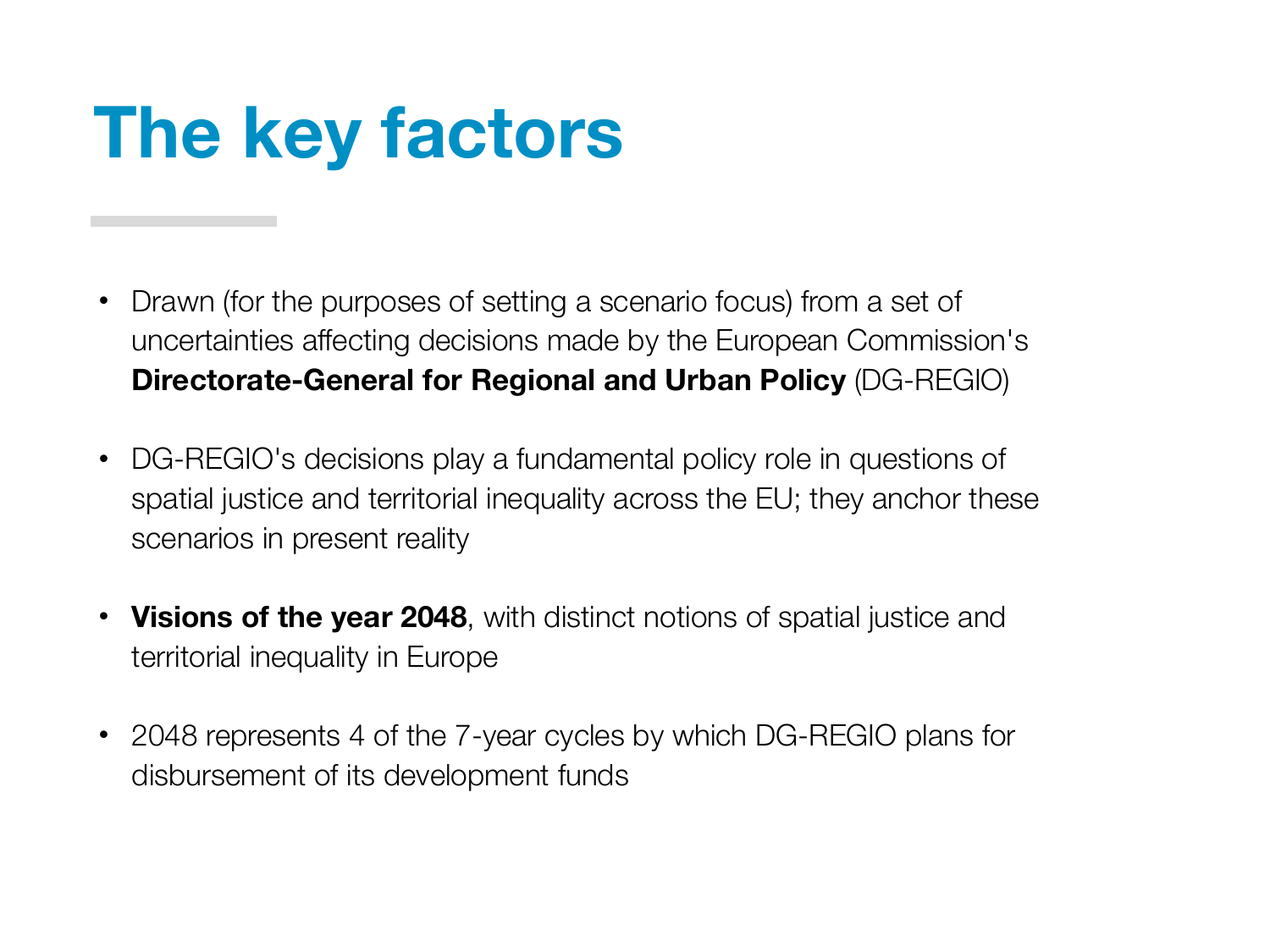#### **The key factors**

- Drawn (for the purposes of setting a scenario focus) from a set of uncertainties affecting decisions made by the European Commission's **Directorate-General for Regional and Urban Policy** (DG-REGIO)
- DG-REGIO's decisions play a fundamental policy role in questions of spatial justice and territorial inequality across the EU; they anchor these scenarios in present reality
- **Visions of the year 2048**, with distinct notions of spatial justice and territorial inequality in Europe
- 2048 represents 4 of the 7-year cycles by which DG-REGIO plans for disbursement of its development funds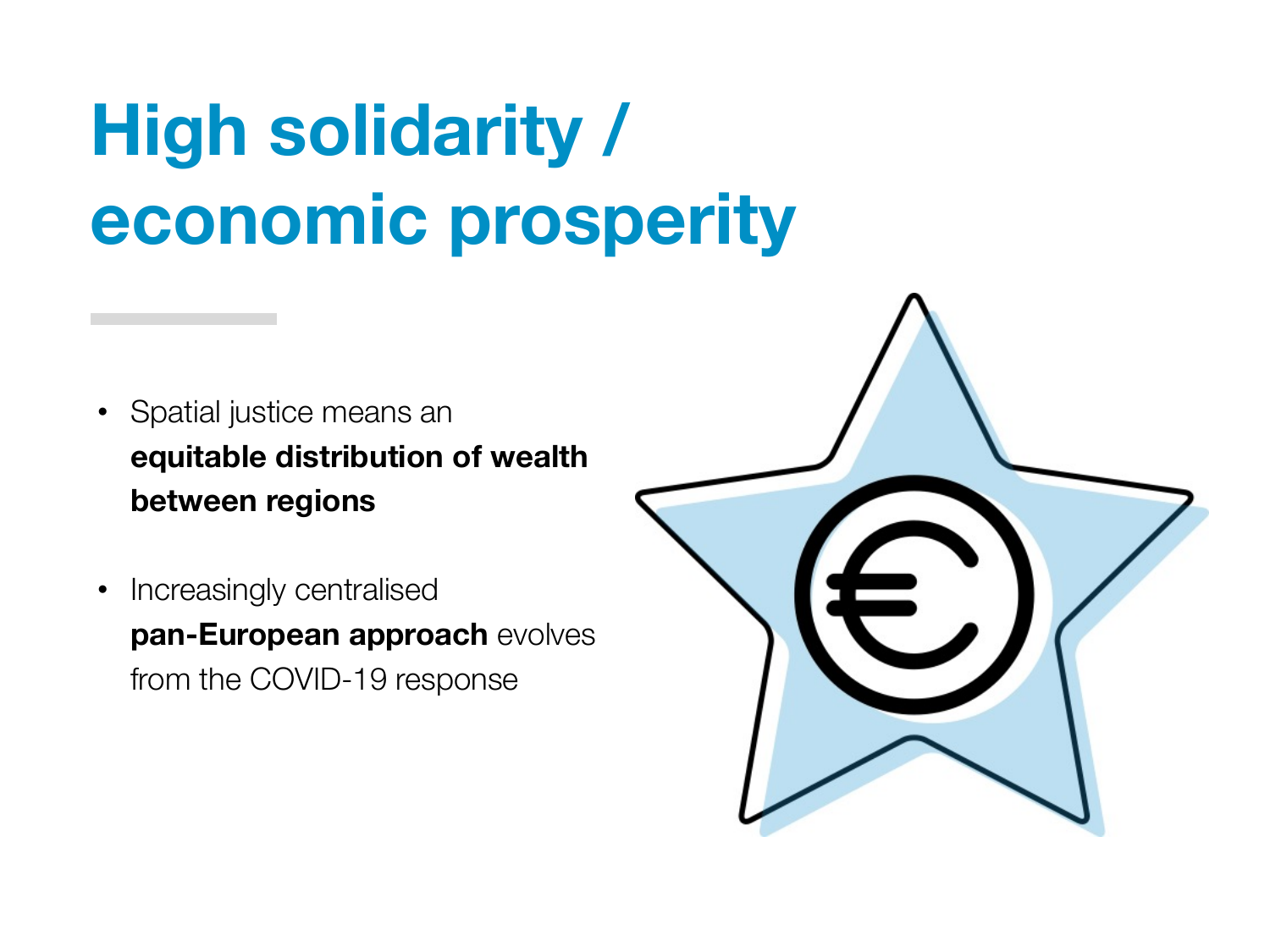#### **High solidarity / economic prosperity**

- Spatial justice means an **equitable distribution of wealth between regions**
- Increasingly centralised **pan-European approach** evolves from the COVID-19 response

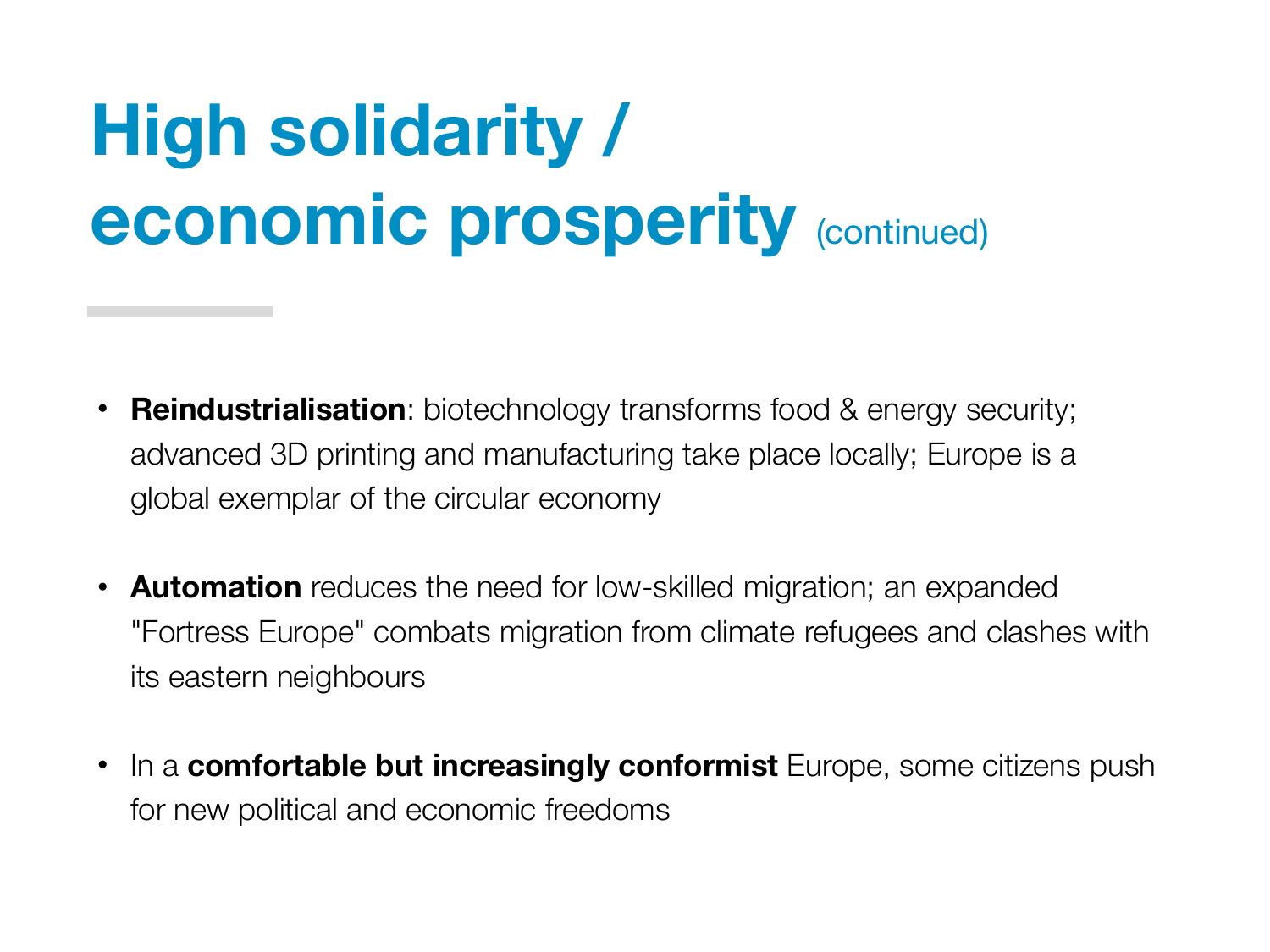# **High solidarity / economic prosperity** (continued)

- **Reindustrialisation**: biotechnology transforms food & energy security; advanced 3D printing and manufacturing take place locally; Europe is a global exemplar of the circular economy
- **Automation** reduces the need for low-skilled migration; an expanded "Fortress Europe" combats migration from climate refugees and clashes with its eastern neighbours
- In a **comfortable but increasingly conformist** Europe, some citizens push for new political and economic freedoms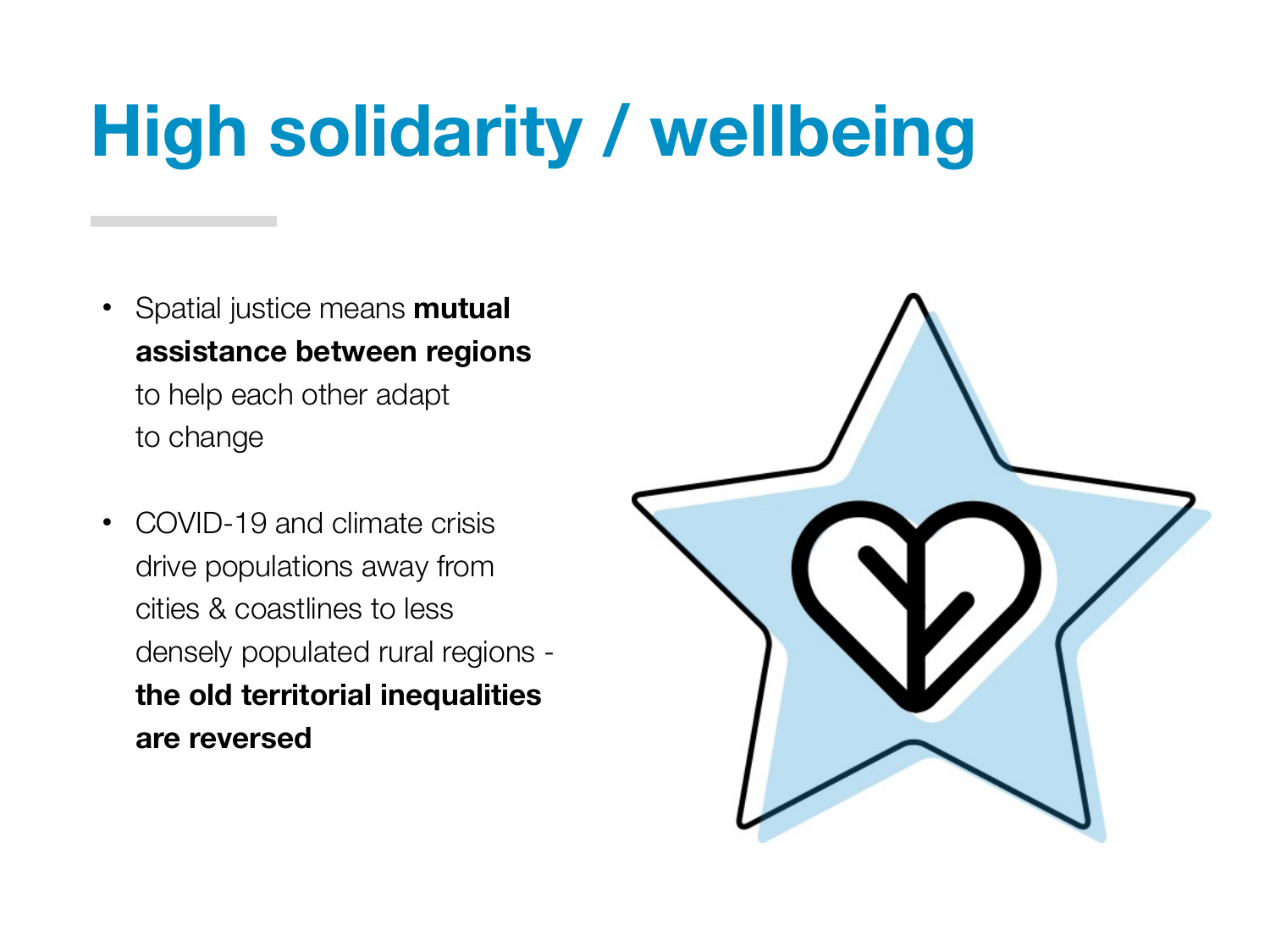# **High solidarity / wellbeing**

- Spatial justice means **mutual assistance between regions** to help each other adapt to change
- COVID-19 and climate crisis drive populations away from cities & coastlines to less densely populated rural regions **the old territorial inequalities are reversed**

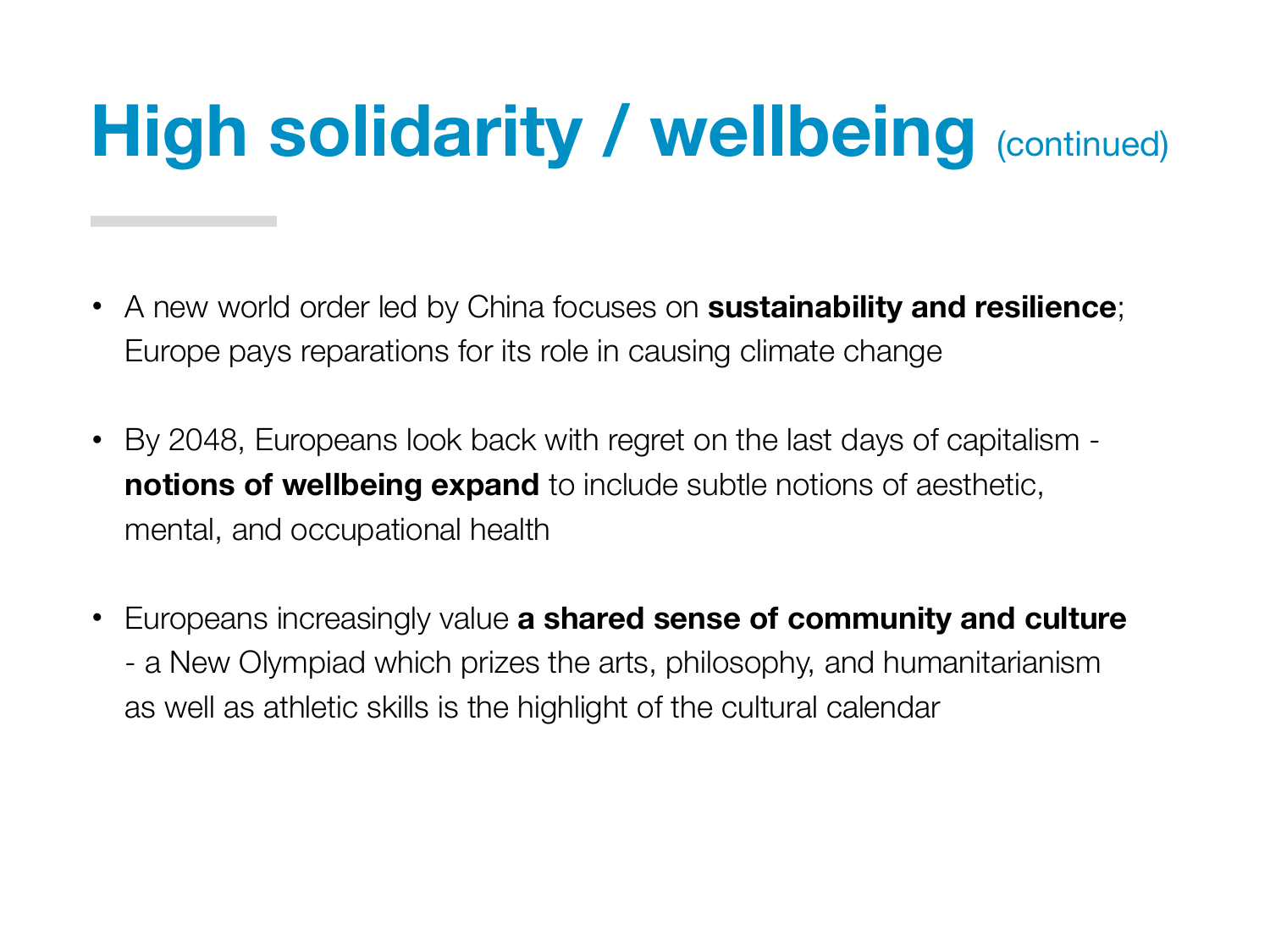# **High solidarity / wellbeing (continued)**

- A new world order led by China focuses on **sustainability and resilience**; Europe pays reparations for its role in causing climate change
- By 2048, Europeans look back with regret on the last days of capitalism **notions of wellbeing expand** to include subtle notions of aesthetic, mental, and occupational health
- Europeans increasingly value **a shared sense of community and culture** - a New Olympiad which prizes the arts, philosophy, and humanitarianism as well as athletic skills is the highlight of the cultural calendar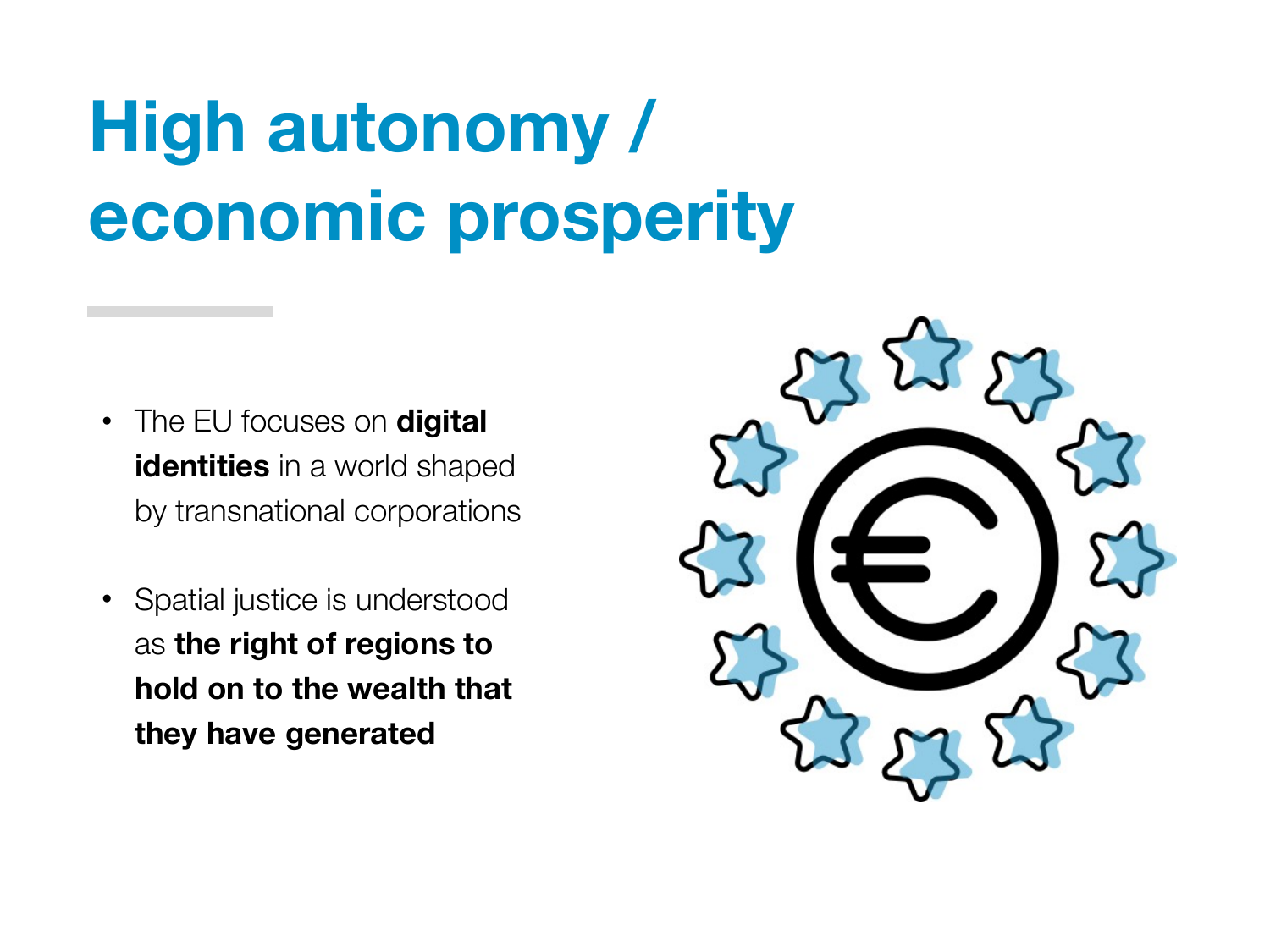# **High autonomy / economic prosperity**

- The EU focuses on **digital identities** in a world shaped by transnational corporations
- Spatial justice is understood as **the right of regions to hold on to the wealth that they have generated**

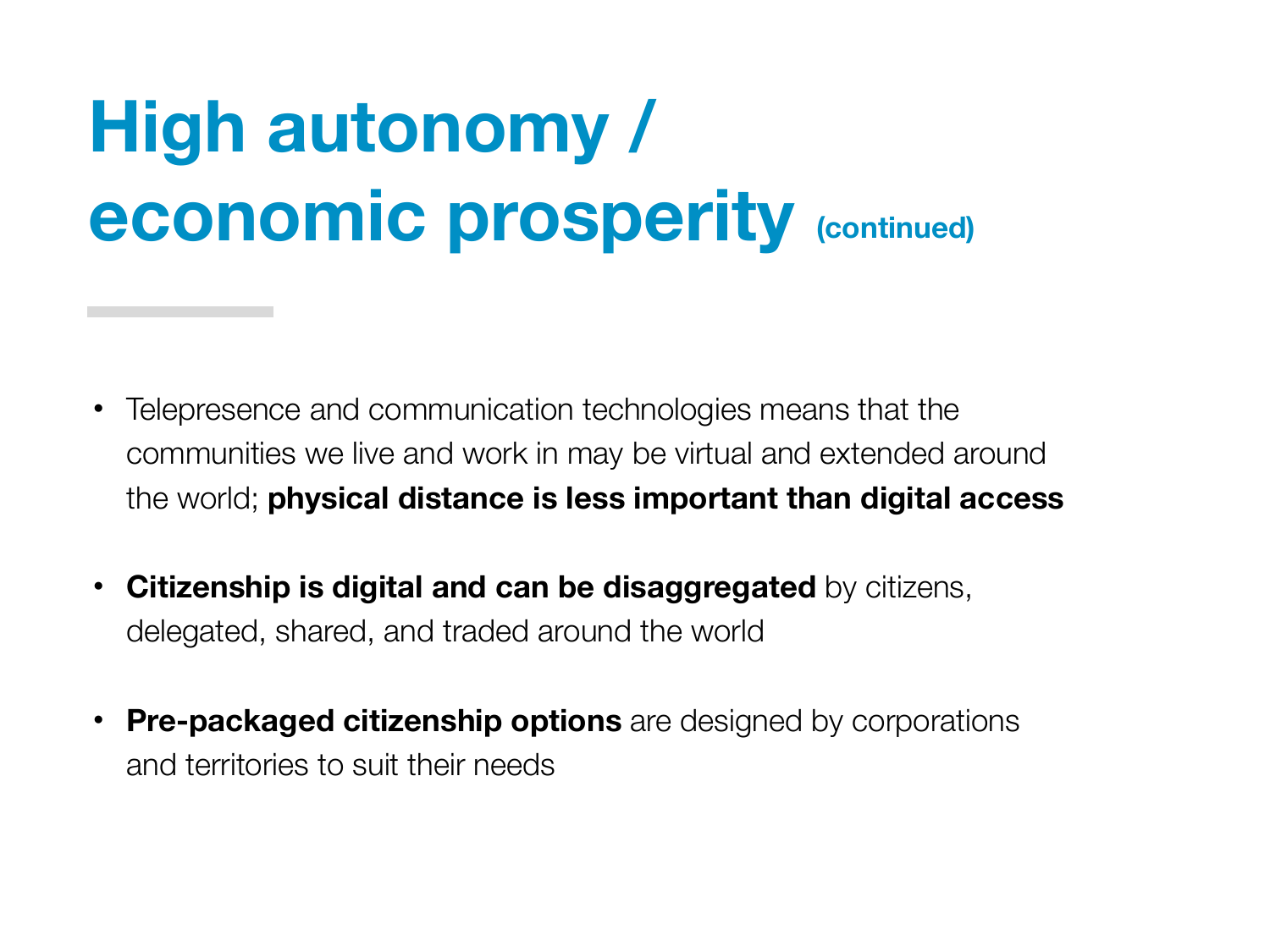#### **High autonomy / economic prosperity (continued)**

- Telepresence and communication technologies means that the communities we live and work in may be virtual and extended around the world; **physical distance is less important than digital access**
- **Citizenship is digital and can be disaggregated** by citizens, delegated, shared, and traded around the world
- **Pre-packaged citizenship options** are designed by corporations and territories to suit their needs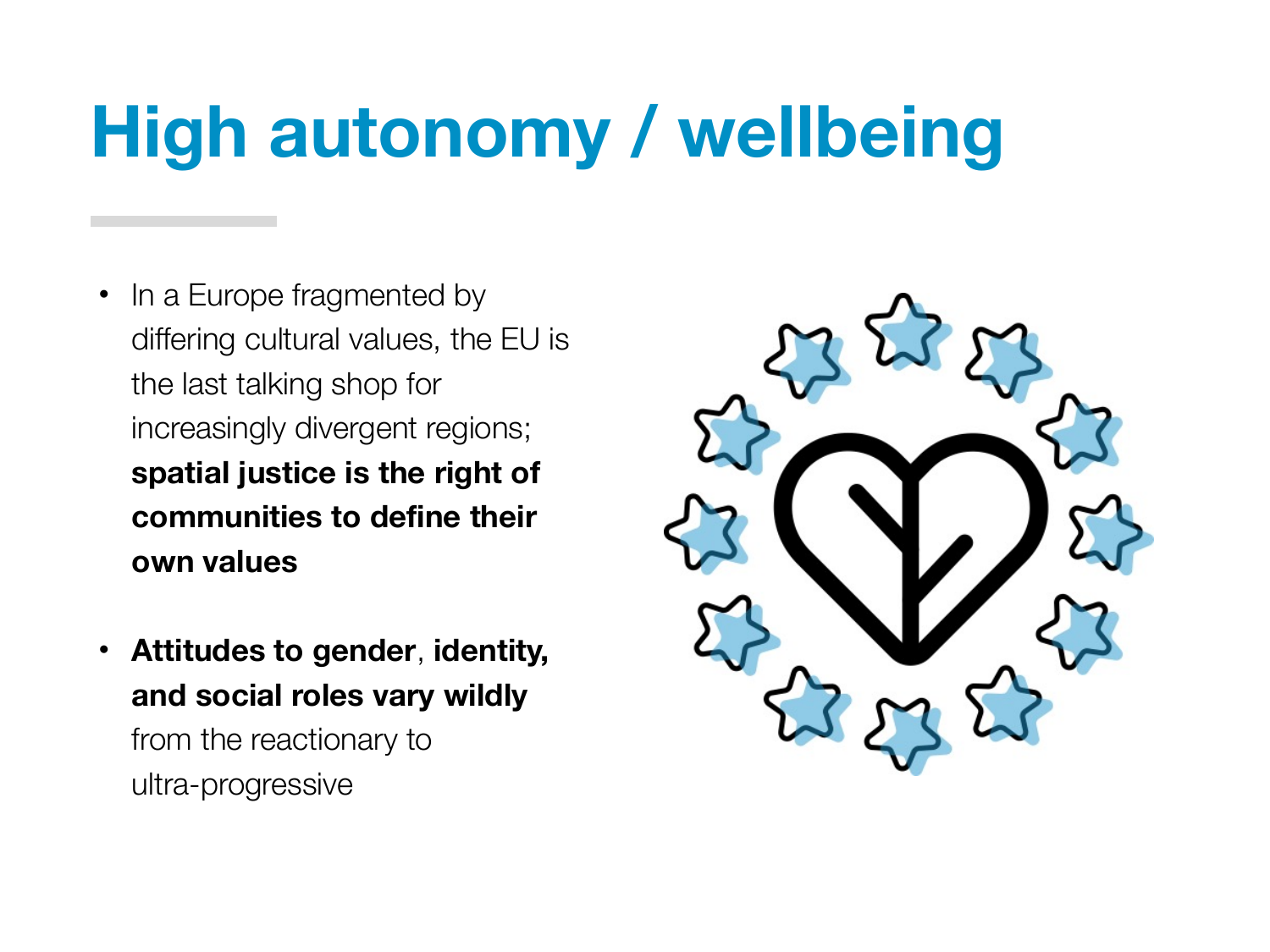# **High autonomy / wellbeing**

- In a Europe fragmented by differing cultural values, the EU is the last talking shop for increasingly divergent regions; **spatial justice is the right of communities to define their own values**
- **Attitudes to gender**, **identity, and social roles vary wildly** from the reactionary to ultra-progressive

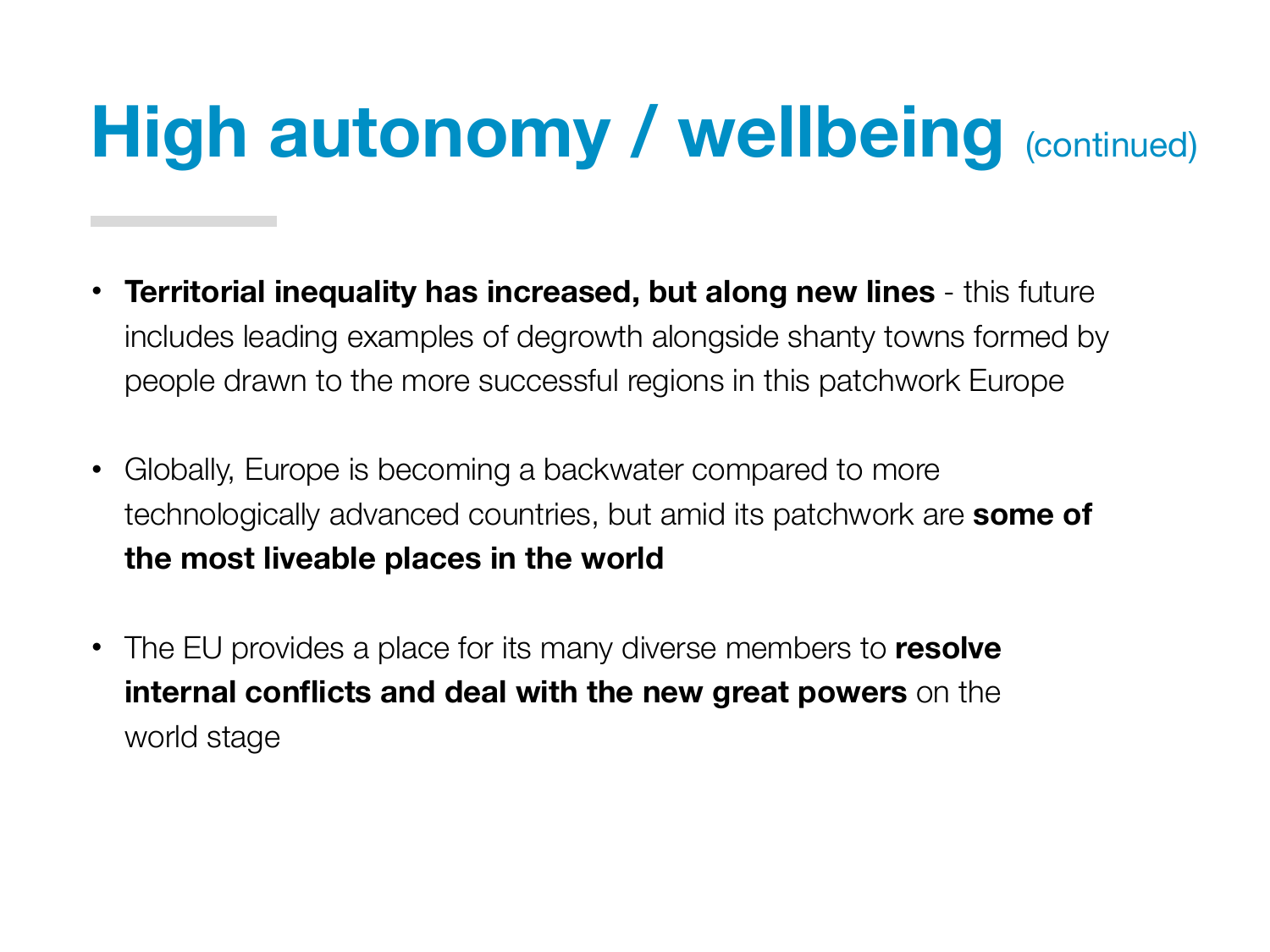# **High autonomy / wellbeing** (continued)

- **Territorial inequality has increased, but along new lines** this future includes leading examples of degrowth alongside shanty towns formed by people drawn to the more successful regions in this patchwork Europe
- Globally, Europe is becoming a backwater compared to more technologically advanced countries, but amid its patchwork are **some of the most liveable places in the world**
- The EU provides a place for its many diverse members to **resolve internal conflicts and deal with the new great powers** on the world stage